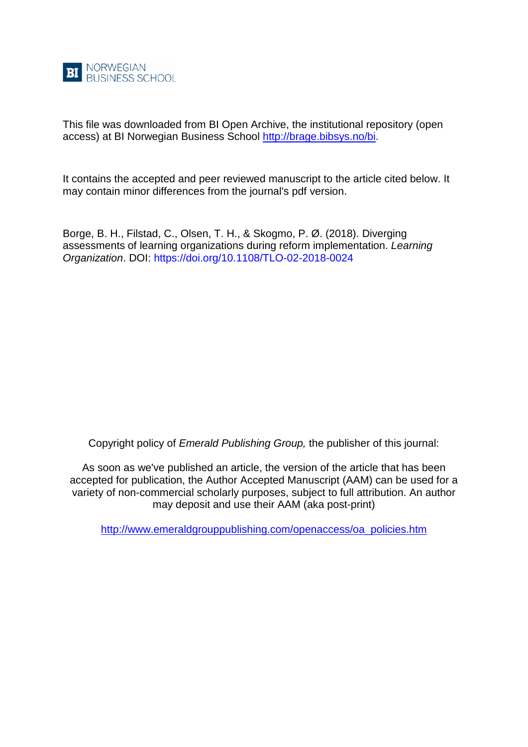

This file was downloaded from BI Open Archive, the institutional repository (open access) at BI Norwegian Business School [http://brage.bibsys.no/bi.](http://brage.bibsys.no/bi)

It contains the accepted and peer reviewed manuscript to the article cited below. It may contain minor differences from the journal's pdf version.

Borge, B. H., Filstad, C., Olsen, T. H., & Skogmo, P. Ø. (2018). Diverging assessments of learning organizations during reform implementation. *Learning Organization*. DOI: https://doi.org/10.1108/TLO-02-2018-0024

Copyright policy of *Emerald Publishing Group,* the publisher of this journal:

As soon as we've published an article, the version of the article that has been accepted for publication, the Author Accepted Manuscript (AAM) can be used for a variety of non-commercial scholarly purposes, subject to full attribution. An author may deposit and use their AAM (aka post-print)

[http://www.emeraldgrouppublishing.com/openaccess/oa\\_policies.htm](http://www.emeraldgrouppublishing.com/openaccess/oa_policies.htm)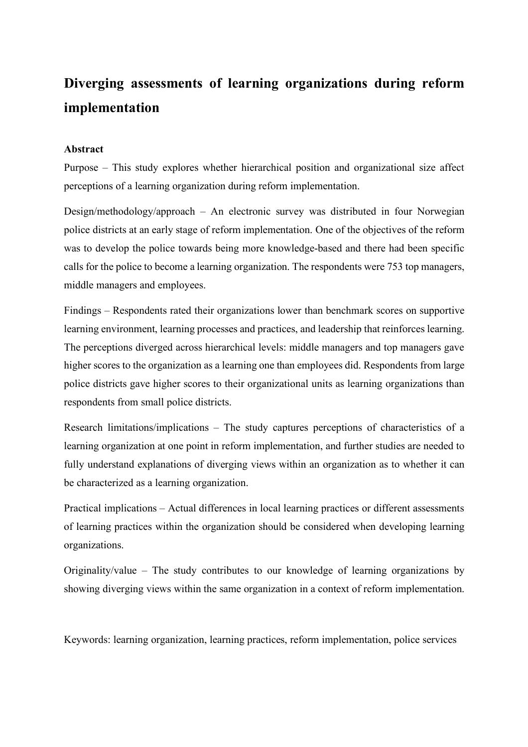# **Diverging assessments of learning organizations during reform implementation**

# **Abstract**

Purpose – This study explores whether hierarchical position and organizational size affect perceptions of a learning organization during reform implementation.

Design/methodology/approach – An electronic survey was distributed in four Norwegian police districts at an early stage of reform implementation. One of the objectives of the reform was to develop the police towards being more knowledge-based and there had been specific calls for the police to become a learning organization. The respondents were 753 top managers, middle managers and employees.

Findings – Respondents rated their organizations lower than benchmark scores on supportive learning environment, learning processes and practices, and leadership that reinforces learning. The perceptions diverged across hierarchical levels: middle managers and top managers gave higher scores to the organization as a learning one than employees did. Respondents from large police districts gave higher scores to their organizational units as learning organizations than respondents from small police districts.

Research limitations/implications – The study captures perceptions of characteristics of a learning organization at one point in reform implementation, and further studies are needed to fully understand explanations of diverging views within an organization as to whether it can be characterized as a learning organization.

Practical implications – Actual differences in local learning practices or different assessments of learning practices within the organization should be considered when developing learning organizations.

Originality/value – The study contributes to our knowledge of learning organizations by showing diverging views within the same organization in a context of reform implementation.

Keywords: learning organization, learning practices, reform implementation, police services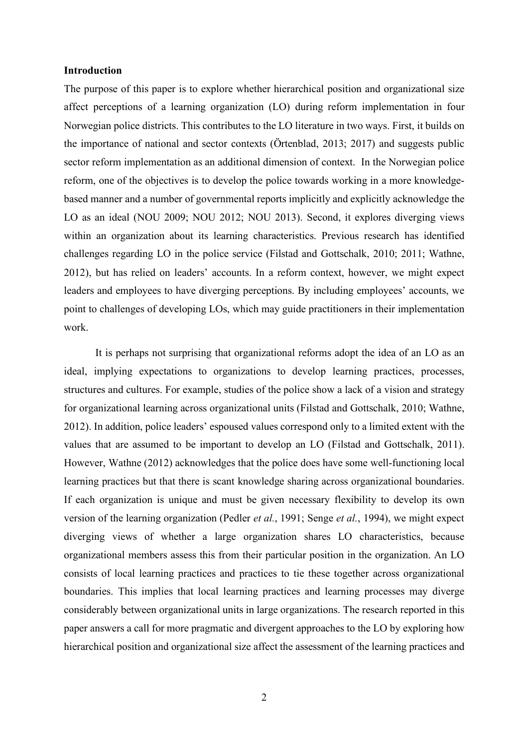# **Introduction**

The purpose of this paper is to explore whether hierarchical position and organizational size affect perceptions of a learning organization (LO) during reform implementation in four Norwegian police districts. This contributes to the LO literature in two ways. First, it builds on the importance of national and sector contexts (Örtenblad, 2013; 2017) and suggests public sector reform implementation as an additional dimension of context. In the Norwegian police reform, one of the objectives is to develop the police towards working in a more knowledgebased manner and a number of governmental reports implicitly and explicitly acknowledge the LO as an ideal (NOU 2009; NOU 2012; NOU 2013). Second, it explores diverging views within an organization about its learning characteristics. Previous research has identified challenges regarding LO in the police service (Filstad and Gottschalk, 2010; 2011; Wathne, 2012), but has relied on leaders' accounts. In a reform context, however, we might expect leaders and employees to have diverging perceptions. By including employees' accounts, we point to challenges of developing LOs, which may guide practitioners in their implementation work.

It is perhaps not surprising that organizational reforms adopt the idea of an LO as an ideal, implying expectations to organizations to develop learning practices, processes, structures and cultures. For example, studies of the police show a lack of a vision and strategy for organizational learning across organizational units (Filstad and Gottschalk, 2010; Wathne, 2012). In addition, police leaders' espoused values correspond only to a limited extent with the values that are assumed to be important to develop an LO (Filstad and Gottschalk, 2011). However, Wathne (2012) acknowledges that the police does have some well-functioning local learning practices but that there is scant knowledge sharing across organizational boundaries. If each organization is unique and must be given necessary flexibility to develop its own version of the learning organization (Pedler *et al.*, 1991; Senge *et al.*, 1994), we might expect diverging views of whether a large organization shares LO characteristics, because organizational members assess this from their particular position in the organization. An LO consists of local learning practices and practices to tie these together across organizational boundaries. This implies that local learning practices and learning processes may diverge considerably between organizational units in large organizations. The research reported in this paper answers a call for more pragmatic and divergent approaches to the LO by exploring how hierarchical position and organizational size affect the assessment of the learning practices and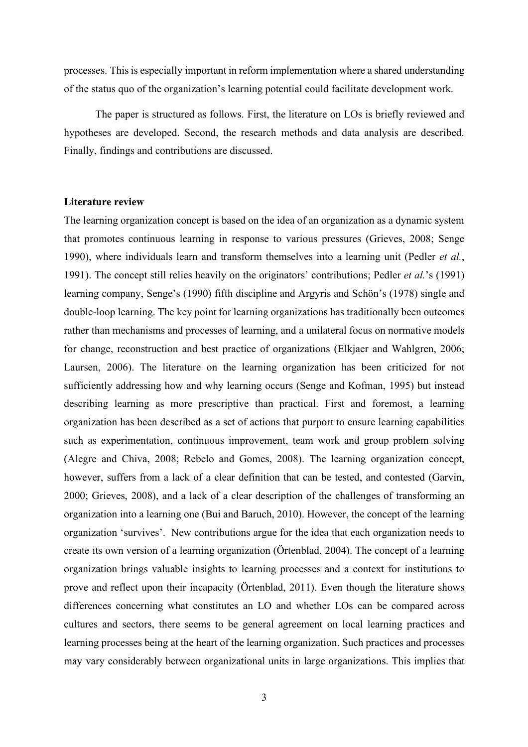processes. This is especially important in reform implementation where a shared understanding of the status quo of the organization's learning potential could facilitate development work.

The paper is structured as follows. First, the literature on LOs is briefly reviewed and hypotheses are developed. Second, the research methods and data analysis are described. Finally, findings and contributions are discussed.

# **Literature review**

The learning organization concept is based on the idea of an organization as a dynamic system that promotes continuous learning in response to various pressures (Grieves, 2008; Senge 1990), where individuals learn and transform themselves into a learning unit (Pedler *et al.*, 1991). The concept still relies heavily on the originators' contributions; Pedler *et al.*'s (1991) learning company, Senge's (1990) fifth discipline and Argyris and Schön's (1978) single and double-loop learning. The key point for learning organizations has traditionally been outcomes rather than mechanisms and processes of learning, and a unilateral focus on normative models for change, reconstruction and best practice of organizations (Elkjaer and Wahlgren, 2006; Laursen, 2006). The literature on the learning organization has been criticized for not sufficiently addressing how and why learning occurs (Senge and Kofman, 1995) but instead describing learning as more prescriptive than practical. First and foremost, a learning organization has been described as a set of actions that purport to ensure learning capabilities such as experimentation, continuous improvement, team work and group problem solving (Alegre and Chiva, 2008; Rebelo and Gomes, 2008). The learning organization concept, however, suffers from a lack of a clear definition that can be tested, and contested (Garvin, 2000; Grieves, 2008), and a lack of a clear description of the challenges of transforming an organization into a learning one (Bui and Baruch, 2010). However, the concept of the learning organization 'survives'. New contributions argue for the idea that each organization needs to create its own version of a learning organization (Örtenblad, 2004). The concept of a learning organization brings valuable insights to learning processes and a context for institutions to prove and reflect upon their incapacity (Örtenblad, 2011). Even though the literature shows differences concerning what constitutes an LO and whether LOs can be compared across cultures and sectors, there seems to be general agreement on local learning practices and learning processes being at the heart of the learning organization. Such practices and processes may vary considerably between organizational units in large organizations. This implies that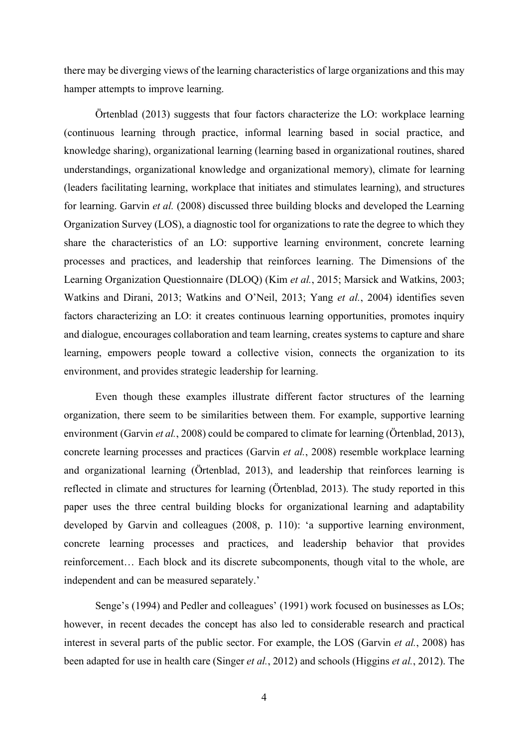there may be diverging views of the learning characteristics of large organizations and this may hamper attempts to improve learning.

Örtenblad (2013) suggests that four factors characterize the LO: workplace learning (continuous learning through practice, informal learning based in social practice, and knowledge sharing), organizational learning (learning based in organizational routines, shared understandings, organizational knowledge and organizational memory), climate for learning (leaders facilitating learning, workplace that initiates and stimulates learning), and structures for learning. Garvin *et al.* (2008) discussed three building blocks and developed the Learning Organization Survey (LOS), a diagnostic tool for organizations to rate the degree to which they share the characteristics of an LO: supportive learning environment, concrete learning processes and practices, and leadership that reinforces learning. The Dimensions of the Learning Organization Questionnaire (DLOQ) (Kim *et al.*, 2015; Marsick and Watkins, 2003; Watkins and Dirani, 2013; Watkins and O'Neil, 2013; Yang *et al.*, 2004) identifies seven factors characterizing an LO: it creates continuous learning opportunities, promotes inquiry and dialogue, encourages collaboration and team learning, creates systems to capture and share learning, empowers people toward a collective vision, connects the organization to its environment, and provides strategic leadership for learning.

Even though these examples illustrate different factor structures of the learning organization, there seem to be similarities between them. For example, supportive learning environment (Garvin *et al.*, 2008) could be compared to climate for learning (Örtenblad, 2013), concrete learning processes and practices (Garvin *et al.*, 2008) resemble workplace learning and organizational learning (Örtenblad, 2013), and leadership that reinforces learning is reflected in climate and structures for learning (Örtenblad, 2013). The study reported in this paper uses the three central building blocks for organizational learning and adaptability developed by Garvin and colleagues (2008, p. 110): 'a supportive learning environment, concrete learning processes and practices, and leadership behavior that provides reinforcement… Each block and its discrete subcomponents, though vital to the whole, are independent and can be measured separately.'

Senge's (1994) and Pedler and colleagues' (1991) work focused on businesses as LOs; however, in recent decades the concept has also led to considerable research and practical interest in several parts of the public sector. For example, the LOS (Garvin *et al.*, 2008) has been adapted for use in health care (Singer *et al.*, 2012) and schools (Higgins *et al.*, 2012). The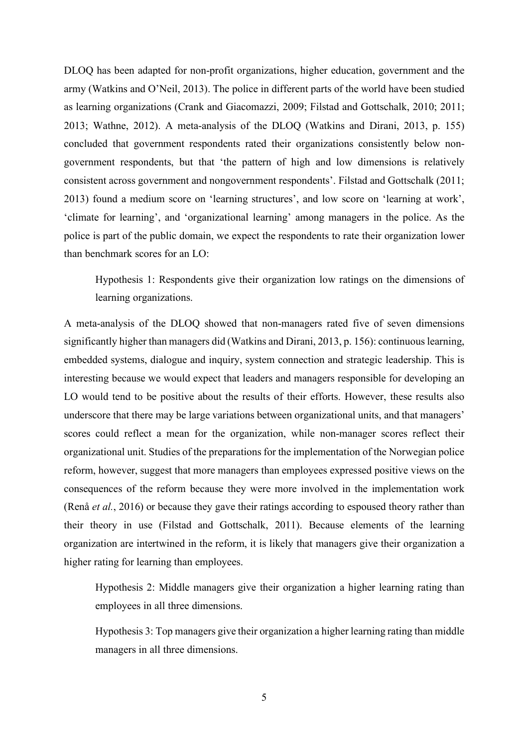DLOQ has been adapted for non-profit organizations, higher education, government and the army (Watkins and O'Neil, 2013). The police in different parts of the world have been studied as learning organizations (Crank and Giacomazzi, 2009; Filstad and Gottschalk, 2010; 2011; 2013; Wathne, 2012). A meta-analysis of the DLOQ (Watkins and Dirani, 2013, p. 155) concluded that government respondents rated their organizations consistently below nongovernment respondents, but that 'the pattern of high and low dimensions is relatively consistent across government and nongovernment respondents'. Filstad and Gottschalk (2011; 2013) found a medium score on 'learning structures', and low score on 'learning at work', 'climate for learning', and 'organizational learning' among managers in the police. As the police is part of the public domain, we expect the respondents to rate their organization lower than benchmark scores for an LO:

Hypothesis 1: Respondents give their organization low ratings on the dimensions of learning organizations.

A meta-analysis of the DLOQ showed that non-managers rated five of seven dimensions significantly higher than managers did (Watkins and Dirani, 2013, p. 156): continuous learning, embedded systems, dialogue and inquiry, system connection and strategic leadership. This is interesting because we would expect that leaders and managers responsible for developing an LO would tend to be positive about the results of their efforts. However, these results also underscore that there may be large variations between organizational units, and that managers' scores could reflect a mean for the organization, while non-manager scores reflect their organizational unit. Studies of the preparations for the implementation of the Norwegian police reform, however, suggest that more managers than employees expressed positive views on the consequences of the reform because they were more involved in the implementation work (Renå *et al.*, 2016) or because they gave their ratings according to espoused theory rather than their theory in use (Filstad and Gottschalk, 2011). Because elements of the learning organization are intertwined in the reform, it is likely that managers give their organization a higher rating for learning than employees.

Hypothesis 2: Middle managers give their organization a higher learning rating than employees in all three dimensions.

Hypothesis 3: Top managers give their organization a higher learning rating than middle managers in all three dimensions.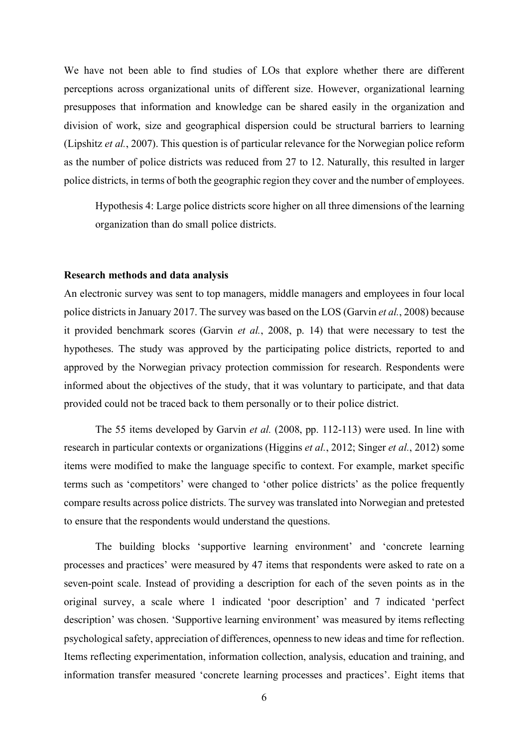We have not been able to find studies of LOs that explore whether there are different perceptions across organizational units of different size. However, organizational learning presupposes that information and knowledge can be shared easily in the organization and division of work, size and geographical dispersion could be structural barriers to learning (Lipshitz *et al.*, 2007). This question is of particular relevance for the Norwegian police reform as the number of police districts was reduced from 27 to 12. Naturally, this resulted in larger police districts, in terms of both the geographic region they cover and the number of employees.

Hypothesis 4: Large police districts score higher on all three dimensions of the learning organization than do small police districts.

## **Research methods and data analysis**

An electronic survey was sent to top managers, middle managers and employees in four local police districts in January 2017. The survey was based on the LOS (Garvin *et al.*, 2008) because it provided benchmark scores (Garvin *et al.*, 2008, p. 14) that were necessary to test the hypotheses. The study was approved by the participating police districts, reported to and approved by the Norwegian privacy protection commission for research. Respondents were informed about the objectives of the study, that it was voluntary to participate, and that data provided could not be traced back to them personally or to their police district.

The 55 items developed by Garvin *et al.* (2008, pp. 112-113) were used. In line with research in particular contexts or organizations (Higgins *et al.*, 2012; Singer *et al.*, 2012) some items were modified to make the language specific to context. For example, market specific terms such as 'competitors' were changed to 'other police districts' as the police frequently compare results across police districts. The survey was translated into Norwegian and pretested to ensure that the respondents would understand the questions.

The building blocks 'supportive learning environment' and 'concrete learning processes and practices' were measured by 47 items that respondents were asked to rate on a seven-point scale. Instead of providing a description for each of the seven points as in the original survey, a scale where 1 indicated 'poor description' and 7 indicated 'perfect description' was chosen. 'Supportive learning environment' was measured by items reflecting psychological safety, appreciation of differences, openness to new ideas and time for reflection. Items reflecting experimentation, information collection, analysis, education and training, and information transfer measured 'concrete learning processes and practices'. Eight items that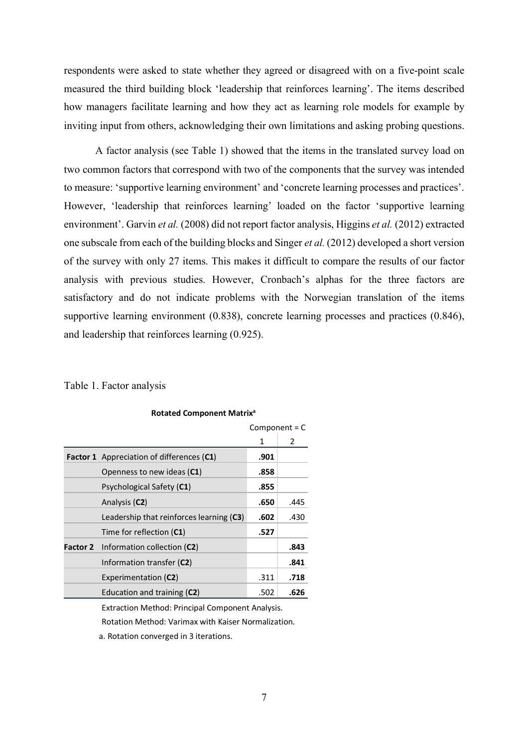respondents were asked to state whether they agreed or disagreed with on a five-point scale measured the third building block 'leadership that reinforces learning'. The items described how managers facilitate learning and how they act as learning role models for example by inviting input from others, acknowledging their own limitations and asking probing questions.

A factor analysis (see Table 1) showed that the items in the translated survey load on two common factors that correspond with two of the components that the survey was intended to measure: 'supportive learning environment' and 'concrete learning processes and practices'. However, 'leadership that reinforces learning' loaded on the factor 'supportive learning environment'. Garvin *et al.* (2008) did not report factor analysis, Higgins *et al.* (2012) extracted one subscale from each of the building blocks and Singer *et al.* (2012) developed a short version of the survey with only 27 items. This makes it difficult to compare the results of our factor analysis with previous studies. However, Cronbach's alphas for the three factors are satisfactory and do not indicate problems with the Norwegian translation of the items supportive learning environment (0.838), concrete learning processes and practices (0.846), and leadership that reinforces learning (0.925).

## Table 1. Factor analysis

|                                                  | Component = $C$ |      |
|--------------------------------------------------|-----------------|------|
|                                                  | 1               | 2    |
| <b>Factor 1</b> Appreciation of differences (C1) | .901            |      |
| Openness to new ideas (C1)                       | .858            |      |
| Psychological Safety (C1)                        | .855            |      |
| Analysis (C2)                                    | .650            | .445 |
| Leadership that reinforces learning (C3)         | .602            | .430 |
| Time for reflection (C1)                         | .527            |      |
| <b>Factor 2</b> Information collection (C2)      |                 | .843 |
| Information transfer (C2)                        |                 | .841 |
| Experimentation (C2)                             | .311            | .718 |
| Education and training (C2)                      | .502            | .626 |

#### **Rotated Component Matrixa**

Extraction Method: Principal Component Analysis.

Rotation Method: Varimax with Kaiser Normalization.

a. Rotation converged in 3 iterations.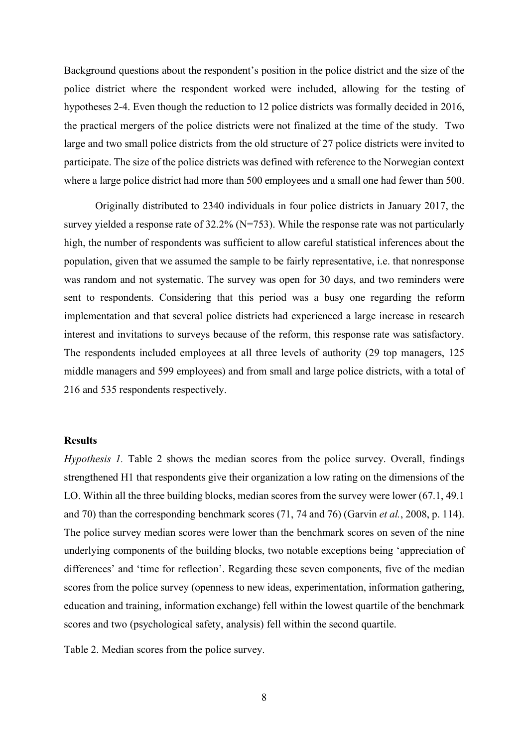Background questions about the respondent's position in the police district and the size of the police district where the respondent worked were included, allowing for the testing of hypotheses 2-4. Even though the reduction to 12 police districts was formally decided in 2016, the practical mergers of the police districts were not finalized at the time of the study. Two large and two small police districts from the old structure of 27 police districts were invited to participate. The size of the police districts was defined with reference to the Norwegian context where a large police district had more than 500 employees and a small one had fewer than 500.

Originally distributed to 2340 individuals in four police districts in January 2017, the survey yielded a response rate of 32.2% (N=753). While the response rate was not particularly high, the number of respondents was sufficient to allow careful statistical inferences about the population, given that we assumed the sample to be fairly representative, i.e. that nonresponse was random and not systematic. The survey was open for 30 days, and two reminders were sent to respondents. Considering that this period was a busy one regarding the reform implementation and that several police districts had experienced a large increase in research interest and invitations to surveys because of the reform, this response rate was satisfactory. The respondents included employees at all three levels of authority (29 top managers, 125 middle managers and 599 employees) and from small and large police districts, with a total of 216 and 535 respondents respectively.

# **Results**

*Hypothesis 1.* Table 2 shows the median scores from the police survey. Overall, findings strengthened H1 that respondents give their organization a low rating on the dimensions of the LO. Within all the three building blocks, median scores from the survey were lower (67.1, 49.1 and 70) than the corresponding benchmark scores (71, 74 and 76) (Garvin *et al.*, 2008, p. 114). The police survey median scores were lower than the benchmark scores on seven of the nine underlying components of the building blocks, two notable exceptions being 'appreciation of differences' and 'time for reflection'. Regarding these seven components, five of the median scores from the police survey (openness to new ideas, experimentation, information gathering, education and training, information exchange) fell within the lowest quartile of the benchmark scores and two (psychological safety, analysis) fell within the second quartile.

Table 2. Median scores from the police survey.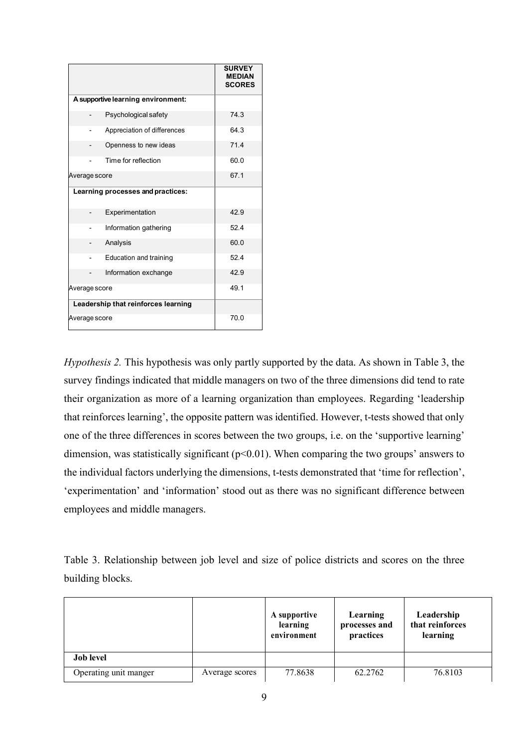|                                     |                                   | <b>SURVEY</b><br><b>MEDIAN</b><br><b>SCORES</b> |
|-------------------------------------|-----------------------------------|-------------------------------------------------|
| A supportive learning environment:  |                                   |                                                 |
|                                     | Psychological safety              | 74.3                                            |
|                                     | Appreciation of differences       | 64.3                                            |
|                                     | Openness to new ideas             | 71.4                                            |
|                                     | Time for reflection               | 60.0                                            |
| Average score                       |                                   | 67.1                                            |
|                                     | Learning processes and practices: |                                                 |
|                                     | Experimentation                   | 42.9                                            |
|                                     | Information gathering             | 52.4                                            |
|                                     | Analysis                          | 60.0                                            |
|                                     | Education and training            | 52.4                                            |
|                                     | Information exchange              | 42.9                                            |
| Average score                       |                                   | 49.1                                            |
| Leadership that reinforces learning |                                   |                                                 |
| Average score                       | 70.0                              |                                                 |

*Hypothesis 2.* This hypothesis was only partly supported by the data. As shown in Table 3, the survey findings indicated that middle managers on two of the three dimensions did tend to rate their organization as more of a learning organization than employees. Regarding 'leadership that reinforces learning', the opposite pattern was identified. However, t-tests showed that only one of the three differences in scores between the two groups, i.e. on the 'supportive learning' dimension, was statistically significant  $(p<0.01)$ . When comparing the two groups' answers to the individual factors underlying the dimensions, t-tests demonstrated that 'time for reflection', 'experimentation' and 'information' stood out as there was no significant difference between employees and middle managers.

Table 3. Relationship between job level and size of police districts and scores on the three building blocks.

|                       |                | A supportive<br>learning<br>environment | Learning<br>processes and<br>practices | Leadership<br>that reinforces<br>learning |
|-----------------------|----------------|-----------------------------------------|----------------------------------------|-------------------------------------------|
| <b>Job level</b>      |                |                                         |                                        |                                           |
| Operating unit manger | Average scores | 77.8638                                 | 62.2762                                | 76.8103                                   |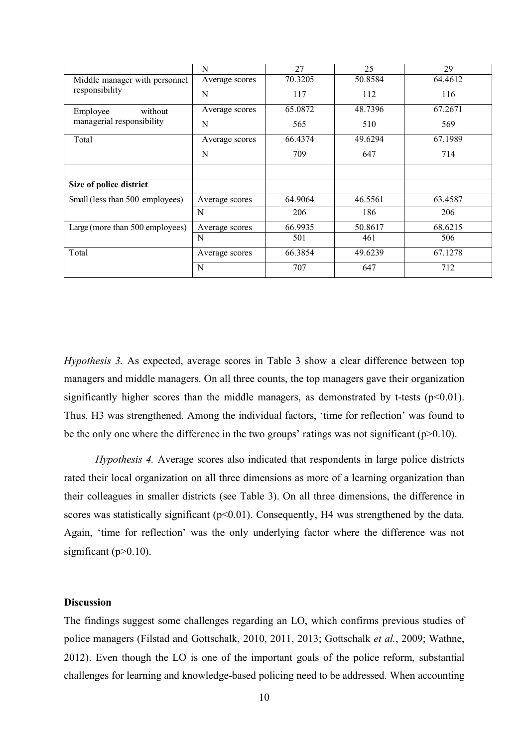|                                 | N              | 27      | 25      | 29      |
|---------------------------------|----------------|---------|---------|---------|
| Middle manager with personnel   | Average scores | 70.3205 | 50.8584 | 64.4612 |
| responsibility                  | N              | 117     | 112     | 116     |
| without<br>Employee             | Average scores | 65.0872 | 48.7396 | 67.2671 |
| managerial responsibility       | N              | 565     | 510     | 569     |
| Total                           | Average scores | 66.4374 | 49.6294 | 67.1989 |
|                                 | N              | 709     | 647     | 714     |
|                                 |                |         |         |         |
| Size of police district         |                |         |         |         |
| Small (less than 500 employees) | Average scores | 64.9064 | 46.5561 | 63.4587 |
|                                 | N              | 206     | 186     | 206     |
| Large (more than 500 employees) | Average scores | 66.9935 | 50.8617 | 68.6215 |
|                                 | N              | 501     | 461     | 506     |
| Total                           | Average scores | 66.3854 | 49.6239 | 67.1278 |
|                                 | N              | 707     | 647     | 712     |

*Hypothesis 3.* As expected, average scores in Table 3 show a clear difference between top managers and middle managers. On all three counts, the top managers gave their organization significantly higher scores than the middle managers, as demonstrated by t-tests  $(p<0.01)$ . Thus, H3 was strengthened. Among the individual factors, 'time for reflection' was found to be the only one where the difference in the two groups' ratings was not significant ( $p>0.10$ ).

*Hypothesis 4.* Average scores also indicated that respondents in large police districts rated their local organization on all three dimensions as more of a learning organization than their colleagues in smaller districts (see Table 3). On all three dimensions, the difference in scores was statistically significant  $(p<0.01)$ . Consequently, H4 was strengthened by the data. Again, 'time for reflection' was the only underlying factor where the difference was not significant (p>0.10).

# **Discussion**

The findings suggest some challenges regarding an LO, which confirms previous studies of police managers (Filstad and Gottschalk, 2010, 2011, 2013; Gottschalk *et al.*, 2009; Wathne, 2012). Even though the LO is one of the important goals of the police reform, substantial challenges for learning and knowledge-based policing need to be addressed. When accounting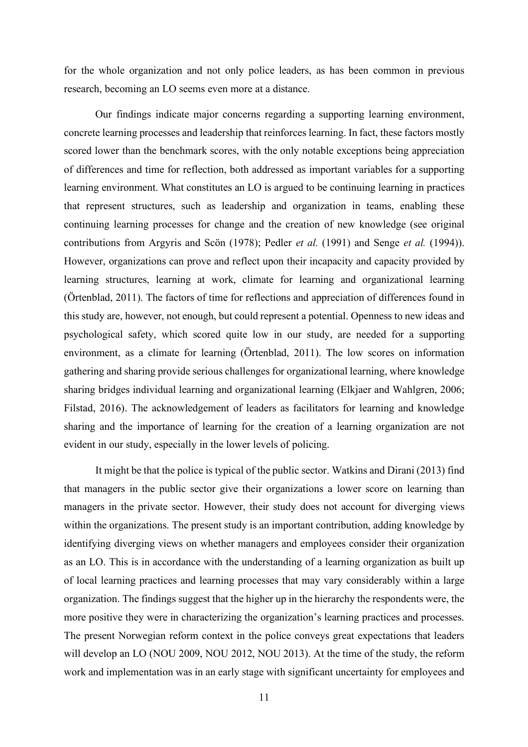for the whole organization and not only police leaders, as has been common in previous research, becoming an LO seems even more at a distance.

Our findings indicate major concerns regarding a supporting learning environment, concrete learning processes and leadership that reinforces learning. In fact, these factors mostly scored lower than the benchmark scores, with the only notable exceptions being appreciation of differences and time for reflection, both addressed as important variables for a supporting learning environment. What constitutes an LO is argued to be continuing learning in practices that represent structures, such as leadership and organization in teams, enabling these continuing learning processes for change and the creation of new knowledge (see original contributions from Argyris and Scön (1978); Pedler *et al.* (1991) and Senge *et al.* (1994)). However, organizations can prove and reflect upon their incapacity and capacity provided by learning structures, learning at work, climate for learning and organizational learning (Örtenblad, 2011). The factors of time for reflections and appreciation of differences found in this study are, however, not enough, but could represent a potential. Openness to new ideas and psychological safety, which scored quite low in our study, are needed for a supporting environment, as a climate for learning (Örtenblad, 2011). The low scores on information gathering and sharing provide serious challenges for organizational learning, where knowledge sharing bridges individual learning and organizational learning (Elkjaer and Wahlgren, 2006; Filstad, 2016). The acknowledgement of leaders as facilitators for learning and knowledge sharing and the importance of learning for the creation of a learning organization are not evident in our study, especially in the lower levels of policing.

It might be that the police is typical of the public sector. Watkins and Dirani (2013) find that managers in the public sector give their organizations a lower score on learning than managers in the private sector. However, their study does not account for diverging views within the organizations. The present study is an important contribution, adding knowledge by identifying diverging views on whether managers and employees consider their organization as an LO. This is in accordance with the understanding of a learning organization as built up of local learning practices and learning processes that may vary considerably within a large organization. The findings suggest that the higher up in the hierarchy the respondents were, the more positive they were in characterizing the organization's learning practices and processes. The present Norwegian reform context in the police conveys great expectations that leaders will develop an LO (NOU 2009, NOU 2012, NOU 2013). At the time of the study, the reform work and implementation was in an early stage with significant uncertainty for employees and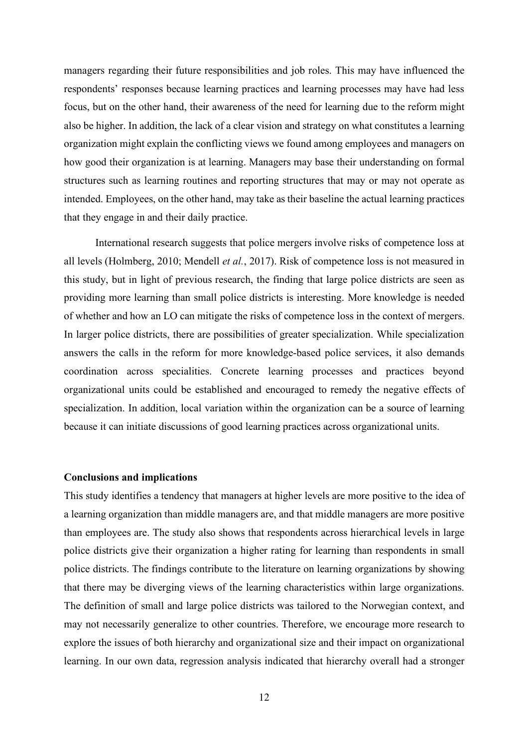managers regarding their future responsibilities and job roles. This may have influenced the respondents' responses because learning practices and learning processes may have had less focus, but on the other hand, their awareness of the need for learning due to the reform might also be higher. In addition, the lack of a clear vision and strategy on what constitutes a learning organization might explain the conflicting views we found among employees and managers on how good their organization is at learning. Managers may base their understanding on formal structures such as learning routines and reporting structures that may or may not operate as intended. Employees, on the other hand, may take as their baseline the actual learning practices that they engage in and their daily practice.

International research suggests that police mergers involve risks of competence loss at all levels (Holmberg, 2010; Mendell *et al.*, 2017). Risk of competence loss is not measured in this study, but in light of previous research, the finding that large police districts are seen as providing more learning than small police districts is interesting. More knowledge is needed of whether and how an LO can mitigate the risks of competence loss in the context of mergers. In larger police districts, there are possibilities of greater specialization. While specialization answers the calls in the reform for more knowledge-based police services, it also demands coordination across specialities. Concrete learning processes and practices beyond organizational units could be established and encouraged to remedy the negative effects of specialization. In addition, local variation within the organization can be a source of learning because it can initiate discussions of good learning practices across organizational units.

### **Conclusions and implications**

This study identifies a tendency that managers at higher levels are more positive to the idea of a learning organization than middle managers are, and that middle managers are more positive than employees are. The study also shows that respondents across hierarchical levels in large police districts give their organization a higher rating for learning than respondents in small police districts. The findings contribute to the literature on learning organizations by showing that there may be diverging views of the learning characteristics within large organizations. The definition of small and large police districts was tailored to the Norwegian context, and may not necessarily generalize to other countries. Therefore, we encourage more research to explore the issues of both hierarchy and organizational size and their impact on organizational learning. In our own data, regression analysis indicated that hierarchy overall had a stronger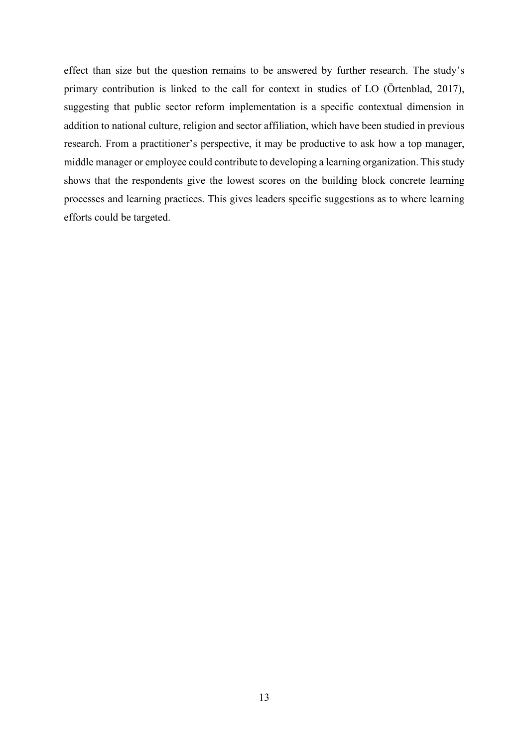effect than size but the question remains to be answered by further research. The study's primary contribution is linked to the call for context in studies of LO (Örtenblad, 2017), suggesting that public sector reform implementation is a specific contextual dimension in addition to national culture, religion and sector affiliation, which have been studied in previous research. From a practitioner's perspective, it may be productive to ask how a top manager, middle manager or employee could contribute to developing a learning organization. This study shows that the respondents give the lowest scores on the building block concrete learning processes and learning practices. This gives leaders specific suggestions as to where learning efforts could be targeted.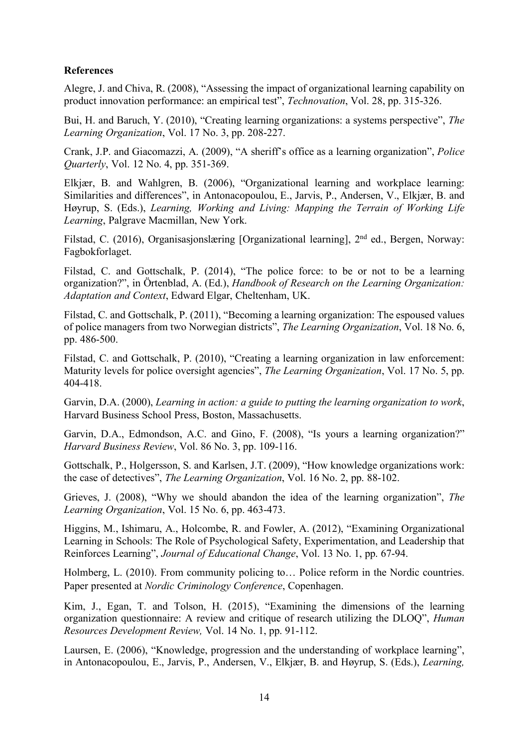# **References**

Alegre, J. and Chiva, R. (2008), "Assessing the impact of organizational learning capability on product innovation performance: an empirical test", *Technovation*, Vol. 28, pp. 315-326.

Bui, H. and Baruch, Y. (2010), "Creating learning organizations: a systems perspective", *The Learning Organization*, Vol. 17 No. 3, pp. 208-227.

Crank, J.P. and Giacomazzi, A. (2009), "A sheriff's office as a learning organization", *Police Quarterly*, Vol. 12 No. 4, pp. 351-369.

Elkjær, B. and Wahlgren, B. (2006), "Organizational learning and workplace learning: Similarities and differences", in Antonacopoulou, E., Jarvis, P., Andersen, V., Elkjær, B. and Høyrup, S. (Eds.), *Learning, Working and Living: Mapping the Terrain of Working Life Learning*, Palgrave Macmillan, New York.

Filstad, C. (2016), Organisasionslæring [Organizational learning], 2<sup>nd</sup> ed., Bergen, Norway: Fagbokforlaget.

Filstad, C. and Gottschalk, P. (2014), "The police force: to be or not to be a learning organization?", in Örtenblad, A. (Ed.), *Handbook of Research on the Learning Organization: Adaptation and Context*, Edward Elgar, Cheltenham, UK.

Filstad, C. and Gottschalk, P. (2011), "Becoming a learning organization: The espoused values of police managers from two Norwegian districts", *The Learning Organization*, Vol. 18 No. 6, pp. 486-500.

Filstad, C. and Gottschalk, P. (2010), "Creating a learning organization in law enforcement: Maturity levels for police oversight agencies", *The Learning Organization*, Vol. 17 No. 5, pp. 404-418.

Garvin, D.A. (2000), *Learning in action: a guide to putting the learning organization to work*, Harvard Business School Press, Boston, Massachusetts.

Garvin, D.A., Edmondson, A.C. and Gino, F. (2008), "Is yours a learning organization?" *Harvard Business Review*, Vol. 86 No. 3, pp. 109-116.

Gottschalk, P., Holgersson, S. and Karlsen, J.T. (2009), "How knowledge organizations work: the case of detectives", *The Learning Organization*, Vol. 16 No. 2, pp. 88-102.

Grieves, J. (2008), "Why we should abandon the idea of the learning organization", *The Learning Organization*, Vol. 15 No. 6, pp. 463-473.

Higgins, M., Ishimaru, A., Holcombe, R. and Fowler, A. (2012), "Examining Organizational Learning in Schools: The Role of Psychological Safety, Experimentation, and Leadership that Reinforces Learning", *Journal of Educational Change*, Vol. 13 No. 1, pp. 67-94.

Holmberg, L. (2010). From community policing to… Police reform in the Nordic countries. Paper presented at *Nordic Criminology Conference*, Copenhagen.

Kim, J., Egan, T. and Tolson, H. (2015), "Examining the dimensions of the learning organization questionnaire: A review and critique of research utilizing the DLOQ", *Human Resources Development Review,* Vol. 14 No. 1, pp. 91-112.

Laursen, E. (2006), "Knowledge, progression and the understanding of workplace learning", in Antonacopoulou, E., Jarvis, P., Andersen, V., Elkjær, B. and Høyrup, S. (Eds.), *Learning,*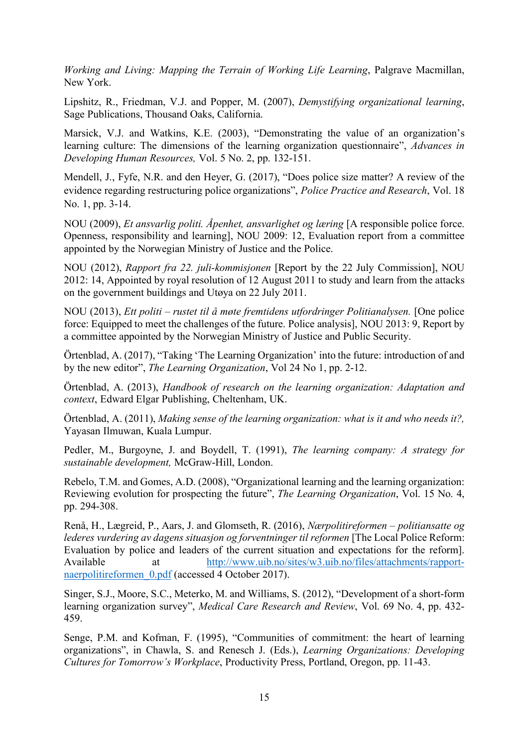*Working and Living: Mapping the Terrain of Working Life Learning*, Palgrave Macmillan, New York.

Lipshitz, R., Friedman, V.J. and Popper, M. (2007), *Demystifying organizational learning*, Sage Publications, Thousand Oaks, California.

Marsick, V.J. and Watkins, K.E. (2003), "Demonstrating the value of an organization's learning culture: The dimensions of the learning organization questionnaire", *Advances in Developing Human Resources,* Vol. 5 No. 2, pp. 132-151.

Mendell, J., Fyfe, N.R. and den Heyer, G. (2017), "Does police size matter? A review of the evidence regarding restructuring police organizations", *Police Practice and Research*, Vol. 18 No. 1, pp. 3-14.

NOU (2009), *Et ansvarlig politi. Åpenhet, ansvarlighet og læring* [A responsible police force. Openness, responsibility and learning], NOU 2009: 12, Evaluation report from a committee appointed by the Norwegian Ministry of Justice and the Police.

NOU (2012), *Rapport fra 22. juli-kommisjonen* [Report by the 22 July Commission], NOU 2012: 14, Appointed by royal resolution of 12 August 2011 to study and learn from the attacks on the government buildings and Utøya on 22 July 2011.

NOU (2013), *Ett politi – rustet til å møte fremtidens utfordringer Politianalysen.* [One police force: Equipped to meet the challenges of the future. Police analysis], NOU 2013: 9, Report by a committee appointed by the Norwegian Ministry of Justice and Public Security.

Örtenblad, A. (2017), "Taking 'The Learning Organization' into the future: introduction of and by the new editor", *The Learning Organization*, Vol 24 No 1, pp. 2-12.

Örtenblad, A. (2013), *Handbook of research on the learning organization: Adaptation and context*, Edward Elgar Publishing, Cheltenham, UK.

Örtenblad, A. (2011), *Making sense of the learning organization: what is it and who needs it?,* Yayasan Ilmuwan, Kuala Lumpur.

Pedler, M., Burgoyne, J. and Boydell, T. (1991), *The learning company: A strategy for sustainable development,* McGraw-Hill, London.

Rebelo, T.M. and Gomes, A.D. (2008), "Organizational learning and the learning organization: Reviewing evolution for prospecting the future", *The Learning Organization*, Vol. 15 No. 4, pp. 294-308.

Renå, H., Lægreid, P., Aars, J. and Glomseth, R. (2016), *Nærpolitireformen – politiansatte og lederes vurdering av dagens situasjon og forventninger til reformen* [The Local Police Reform: Evaluation by police and leaders of the current situation and expectations for the reform]. Available at http://www.uib.no/sites/w3.uib.no/files/attachments/rapportnaerpolitireformen 0.pdf (accessed 4 October 2017).

Singer, S.J., Moore, S.C., Meterko, M. and Williams, S. (2012), "Development of a short-form learning organization survey", *Medical Care Research and Review*, Vol. 69 No. 4, pp. 432- 459.

Senge, P.M. and Kofman, F. (1995), "Communities of commitment: the heart of learning organizations", in Chawla, S. and Renesch J. (Eds.), *Learning Organizations: Developing Cultures for Tomorrow's Workplace*, Productivity Press, Portland, Oregon, pp. 11-43.